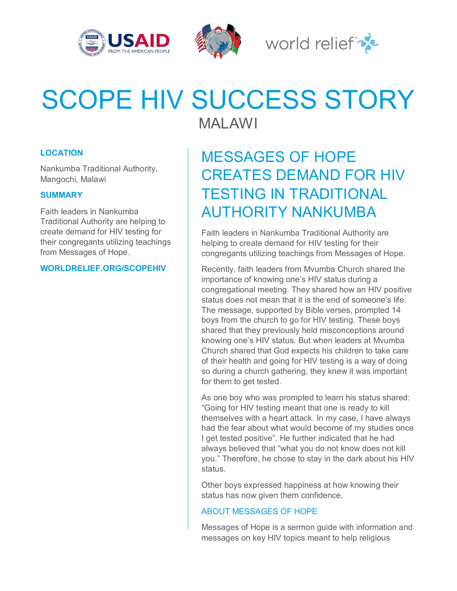





## SCOPE HIV SUCCESS STORY MALAWI

**LOCATION**

Nankumba Traditional Authority, Mangochi, Malawi

## **SUMMARY**

Faith leaders in Nankumba Traditional Authority are helping to create demand for HIV testing for their congregants utilizing teachings from Messages of Hope.

**WORLDRELIEF.ORG/SCOPEHIV**

MESSAGES OF HOPE CREATES DEMAND FOR HIV TESTING IN TRADITIONAL AUTHORITY NANKUMBA

Faith leaders in Nankumba Traditional Authority are helping to create demand for HIV testing for their congregants utilizing teachings from Messages of Hope.

Recently, faith leaders from Mvumba Church shared the importance of knowing one's HIV status during a congregational meeting. They shared how an HIV positive status does not mean that it is the end of someone's life. The message, supported by Bible verses, prompted 14 boys from the church to go for HIV testing. These boys shared that they previously held misconceptions around knowing one's HIV status. But when leaders at Mvumba Church shared that God expects his children to take care of their health and going for HIV testing is a way of doing so during a church gathering, they knew it was important for them to get tested.

As one boy who was prompted to learn his status shared: "Going for HIV testing meant that one is ready to kill themselves with a heart attack. In my case, I have always had the fear about what would become of my studies once I get tested positive". He further indicated that he had always believed that "what you do not know does not kill you." Therefore, he chose to stay in the dark about his HIV status.

Other boys expressed happiness at how knowing their status has now given them confidence.

## ABOUT MESSAGES OF HOPE

Messages of Hope is a sermon guide with information and messages on key HIV topics meant to help religious